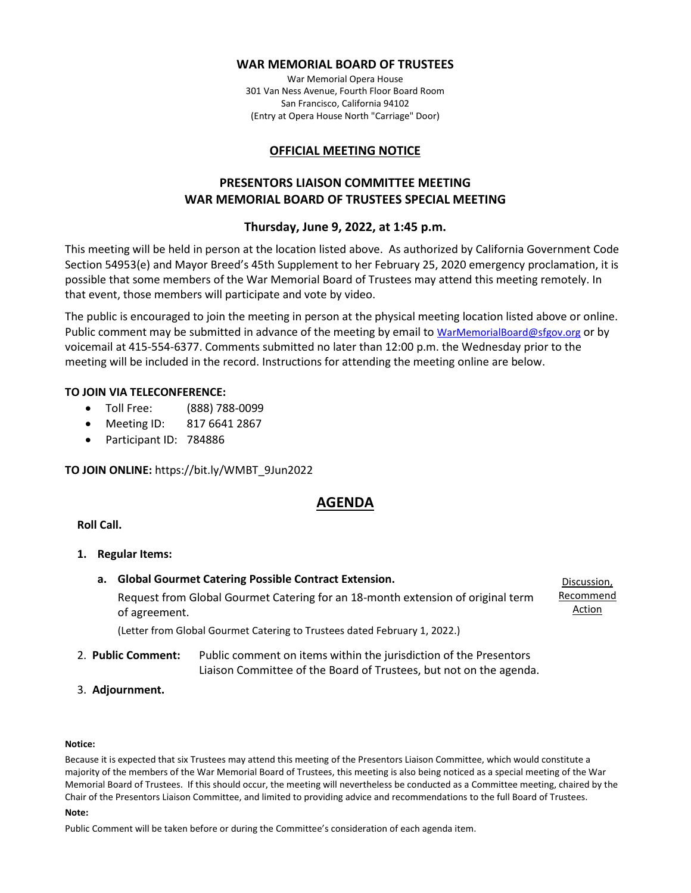## **WAR MEMORIAL BOARD OF TRUSTEES**

War Memorial Opera House 301 Van Ness Avenue, Fourth Floor Board Room San Francisco, California 94102 (Entry at Opera House North "Carriage" Door)

# **OFFICIAL MEETING NOTICE**

# **PRESENTORS LIAISON COMMITTEE MEETING WAR MEMORIAL BOARD OF TRUSTEES SPECIAL MEETING**

# **Thursday, June 9, 2022, at 1:45 p.m.**

This meeting will be held in person at the location listed above. As authorized by California Government Code Section 54953(e) and Mayor Breed's 45th Supplement to her February 25, 2020 emergency proclamation, it is possible that some members of the War Memorial Board of Trustees may attend this meeting remotely. In that event, those members will participate and vote by video.

The public is encouraged to join the meeting in person at the physical meeting location listed above or online. Public comment may be submitted in advance of the meeting by email to [WarMemorialBoard@sfgov.org](mailto:WarMemorialBoard@sfgov.org) or by voicemail at 415-554-6377. Comments submitted no later than 12:00 p.m. the Wednesday prior to the meeting will be included in the record. Instructions for attending the meeting online are below.

## **TO JOIN VIA TELECONFERENCE:**

- Toll Free: (888) 788-0099
- Meeting ID: 817 6641 2867
- Participant ID: 784886

**TO JOIN ONLINE:** https://bit.ly/WMBT\_9Jun2022

# **AGENDA**

## **Roll Call.**

- **1. Regular Items:**
	- **a. Global Gourmet Catering Possible Contract Extension.** Request from Global Gourmet Catering for an 18-month extension of original term of agreement. Discussion, Recommend Action

(Letter from Global Gourmet Catering to Trustees dated February 1, 2022.)

- 2. **Public Comment:** Public comment on items within the jurisdiction of the Presentors Liaison Committee of the Board of Trustees, but not on the agenda.
- 3. **Adjournment.**

## **Notice:**

Because it is expected that six Trustees may attend this meeting of the Presentors Liaison Committee, which would constitute a majority of the members of the War Memorial Board of Trustees, this meeting is also being noticed as a special meeting of the War Memorial Board of Trustees. If this should occur, the meeting will nevertheless be conducted as a Committee meeting, chaired by the Chair of the Presentors Liaison Committee, and limited to providing advice and recommendations to the full Board of Trustees.

#### **Note:**

Public Comment will be taken before or during the Committee's consideration of each agenda item.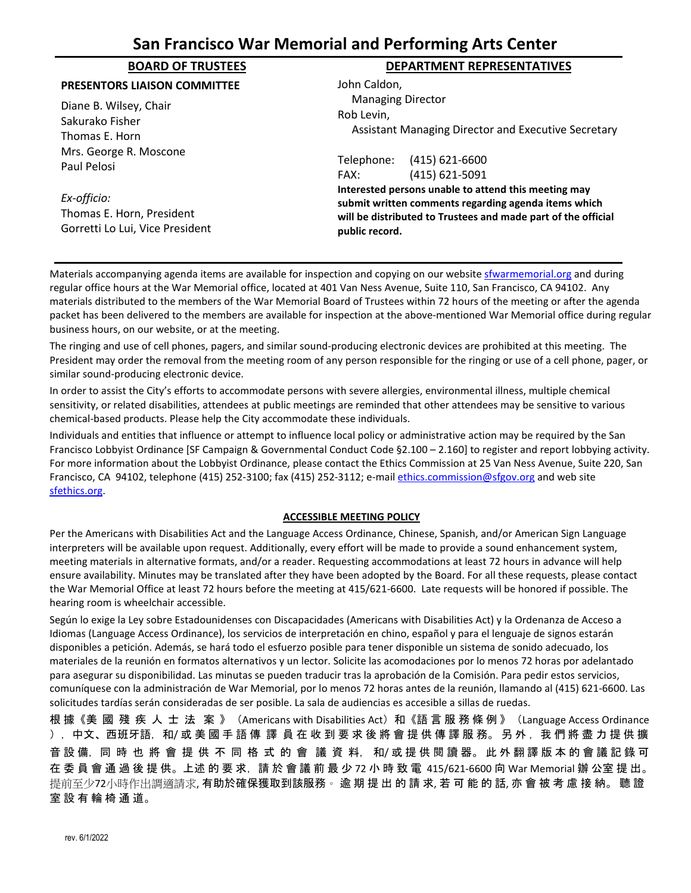# **San Francisco War Memorial and Performing Arts Center**

## **PRESENTORS LIAISON COMMITTEE**

Diane B. Wilsey, Chair Sakurako Fisher Thomas E. Horn Mrs. George R. Moscone Paul Pelosi

*Ex-officio:* Thomas E. Horn, President Gorretti Lo Lui, Vice President

# **BOARD OF TRUSTEES DEPARTMENT REPRESENTATIVES**

John Caldon, Managing Director Rob Levin, Assistant Managing Director and Executive Secretary Telephone: (415) 621-6600 FAX: (415) 621-5091

**Interested persons unable to attend this meeting may submit written comments regarding agenda items which will be distributed to Trustees and made part of the official public record.**

Materials accompanying agenda items are available for inspection and copying on our websit[e sfwarmemorial.org](https://sfwarmemorial.org/) and during regular office hours at the War Memorial office, located at 401 Van Ness Avenue, Suite 110, San Francisco, CA 94102. Any materials distributed to the members of the War Memorial Board of Trustees within 72 hours of the meeting or after the agenda packet has been delivered to the members are available for inspection at the above-mentioned War Memorial office during regular business hours, on our website, or at the meeting.

The ringing and use of cell phones, pagers, and similar sound-producing electronic devices are prohibited at this meeting. The President may order the removal from the meeting room of any person responsible for the ringing or use of a cell phone, pager, or similar sound-producing electronic device.

In order to assist the City's efforts to accommodate persons with severe allergies, environmental illness, multiple chemical sensitivity, or related disabilities, attendees at public meetings are reminded that other attendees may be sensitive to various chemical-based products. Please help the City accommodate these individuals.

Individuals and entities that influence or attempt to influence local policy or administrative action may be required by the San Francisco Lobbyist Ordinance [SF Campaign & Governmental Conduct Code §2.100 – 2.160] to register and report lobbying activity. For more information about the Lobbyist Ordinance, please contact the Ethics Commission at 25 Van Ness Avenue, Suite 220, San Francisco, CA 94102, telephone (415) 252-3100; fax (415) 252-3112; e-mai[l ethics.commission@sfgov.org](mailto:ethics.commission@sfgov.org) and web site [sfethics.org.](https://sfethics.org/)

## **ACCESSIBLE MEETING POLICY**

Per the Americans with Disabilities Act and the Language Access Ordinance, Chinese, Spanish, and/or American Sign Language interpreters will be available upon request. Additionally, every effort will be made to provide a sound enhancement system, meeting materials in alternative formats, and/or a reader. Requesting accommodations at least 72 hours in advance will help ensure availability. Minutes may be translated after they have been adopted by the Board. For all these requests, please contact the War Memorial Office at least 72 hours before the meeting at 415/621-6600. Late requests will be honored if possible. The hearing room is wheelchair accessible.

Según lo exige la Ley sobre Estadounidenses con Discapacidades (Americans with Disabilities Act) y la Ordenanza de Acceso a Idiomas (Language Access Ordinance), los servicios de interpretación en chino, español y para el lenguaje de signos estarán disponibles a petición. Además, se hará todo el esfuerzo posible para tener disponible un sistema de sonido adecuado, los materiales de la reunión en formatos alternativos y un lector. Solicite las acomodaciones por lo menos 72 horas por adelantado para asegurar su disponibilidad. Las minutas se pueden traducir tras la aprobación de la Comisión. Para pedir estos servicios, comuníquese con la administración de War Memorial, por lo menos 72 horas antes de la reunión, llamando al (415) 621-6600. Las solicitudes tardías serán consideradas de ser posible. La sala de audiencias es accesible a sillas de ruedas.

根 據《美 國 殘 疾 人 士 法 案 》(Americans with Disabilities Act)和《語 言 服 務 條 例 》(Language Access Ordinance ), 中文、西班牙語, 和/ 或 美 國 手 語 傳 譯 員 在 收 到 要 求 後 將 會 提 供 傳 譯 服 務。 另 外, 我 們 將 盡 力 提 供 擴 音 設 備,同 時 也 將 會 提 供 不 同 格 式 的 會 議 資 料,和/或提供閱讀器。此外翻譯版本的會議記錄可 在 委 員 會 通 過 後 提 供。上述 的 要 求, 請 於 會 議 前 最 少 72 小 時 致 電 415/621-6600 向 War Memorial 辦 公室 提 出。 提前至少72小時作出調適請求, 有助於確保獲取到該服務。 逾 期 提 出 的 請 求, 若 可 能 的 話, 亦 會 被 考 慮 接 納。 聽 證 室 設 有 輪 椅 通 道。